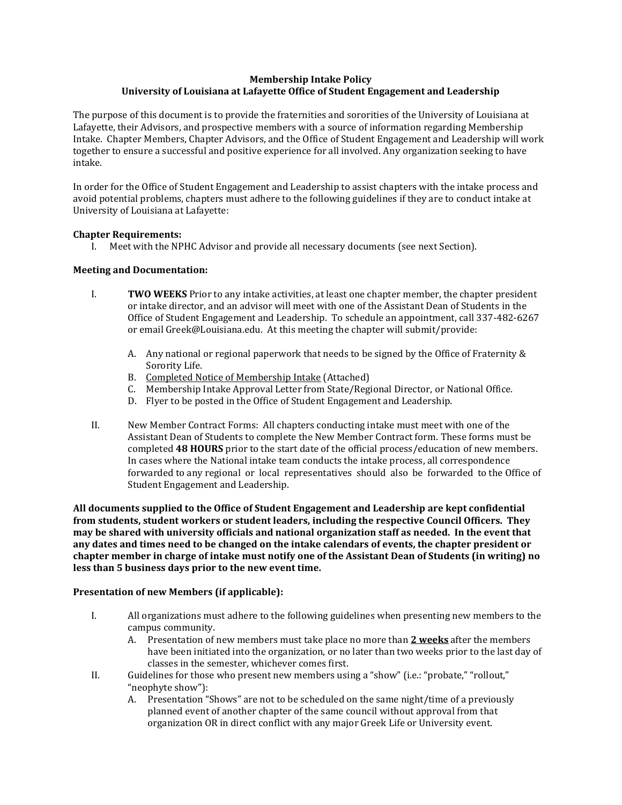## **Membership Intake Policy University of Louisiana at Lafayette Office of Student Engagement and Leadership**

The purpose of this document is to provide the fraternities and sororities of the University of Louisiana at Lafayette, their Advisors, and prospective members with a source of information regarding Membership Intake. Chapter Members, Chapter Advisors, and the Office of Student Engagement and Leadership will work together to ensure a successful and positive experience for all involved. Any organization seeking to have intake.

In order for the Office of Student Engagement and Leadership to assist chapters with the intake process and avoid potential problems, chapters must adhere to the following guidelines if they are to conduct intake at University of Louisiana at Lafayette:

## **Chapter Requirements:**

I. Meet with the NPHC Advisor and provide all necessary documents (see next Section).

## **Meeting and Documentation:**

- I. **TWO WEEKS** Prior to any intake activities, at least one chapter member, the chapter president or intake director, and an advisor will meet with one of the Assistant Dean of Students in the Office of Student Engagement and Leadership. To schedule an appointment, call 337-482-6267 or email Greek@Louisiana.edu. At this meeting the chapter will submit/provide:
	- A. Any national or regional paperwork that needs to be signed by the Office of Fraternity & Sorority Life.
	- B. Completed Notice of Membership Intake (Attached)
	- C. Membership Intake Approval Letter from State/Regional Director, or National Office.
	- D. Flyer to be posted in the Office of Student Engagement and Leadership.
- II. New Member Contract Forms: All chapters conducting intake must meet with one of the Assistant Dean of Students to complete the New Member Contract form. These forms must be completed **48 HOURS** prior to the start date of the official process/education of new members. In cases where the National intake team conducts the intake process, all correspondence forwarded to any regional or local representatives should also be forwarded to the Office of Student Engagement and Leadership.

**All documents supplied to the Office of Student Engagement and Leadership are kept confidential from students, student workers or student leaders, including the respective Council Officers. They may be shared with university officials and national organization staff as needed. In the event that any dates and times need to be changed on the intake calendars of events, the chapter president or chapter member in charge of intake must notify one of the Assistant Dean of Students (in writing) no less than 5 business days prior to the new event time.**

#### **Presentation of new Members (if applicable):**

- I. All organizations must adhere to the following guidelines when presenting new members to the campus community.
	- A. Presentation of new members must take place no more than **2 weeks** after the members have been initiated into the organization, or no later than two weeks prior to the last day of classes in the semester, whichever comes first.
- II. Guidelines for those who present new members using a "show" (i.e.: "probate," "rollout," "neophyte show"):
	- A. Presentation "Shows" are not to be scheduled on the same night/time of a previously planned event of another chapter of the same council without approval from that organization OR in direct conflict with any major Greek Life or University event.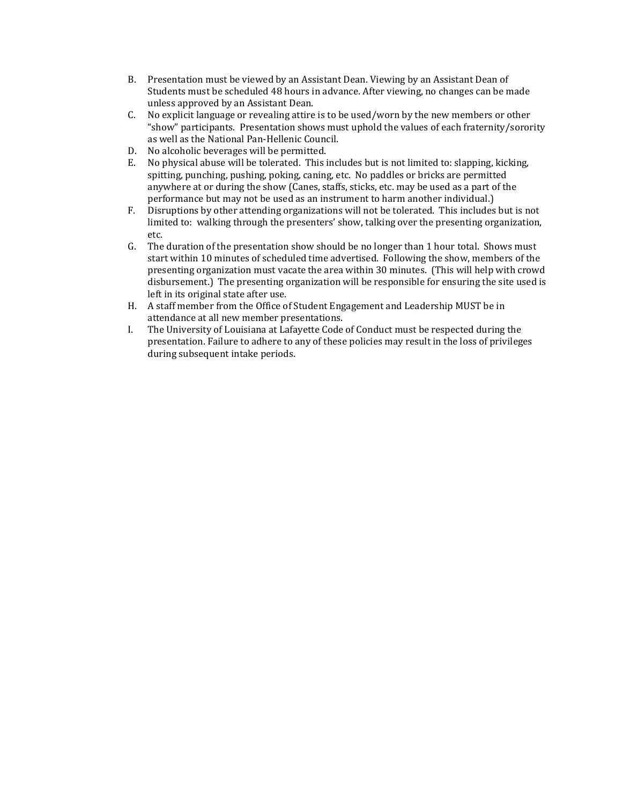- B. Presentation must be viewed by an Assistant Dean. Viewing by an Assistant Dean of Students must be scheduled 48 hours in advance. After viewing, no changes can be made unless approved by an Assistant Dean.
- C. No explicit language or revealing attire is to be used/worn by the new members or other "show" participants. Presentation shows must uphold the values of each fraternity/sorority as well as the National Pan-Hellenic Council.
- D. No alcoholic beverages will be permitted.
- E. No physical abuse will be tolerated. This includes but is not limited to: slapping, kicking, spitting, punching, pushing, poking, caning, etc. No paddles or bricks are permitted anywhere at or during the show (Canes, staffs, sticks, etc. may be used as a part of the performance but may not be used as an instrument to harm another individual.)
- F. Disruptions by other attending organizations will not be tolerated. This includes but is not limited to: walking through the presenters' show, talking over the presenting organization, etc.
- G. The duration of the presentation show should be no longer than 1 hour total. Shows must start within 10 minutes of scheduled time advertised. Following the show, members of the presenting organization must vacate the area within 30 minutes. (This will help with crowd disbursement.) The presenting organization will be responsible for ensuring the site used is left in its original state after use.
- H. A staff member from the Office of Student Engagement and Leadership MUST be in attendance at all new member presentations.
- I. The University of Louisiana at Lafayette Code of Conduct must be respected during the presentation. Failure to adhere to any of these policies may result in the loss of privileges during subsequent intake periods.